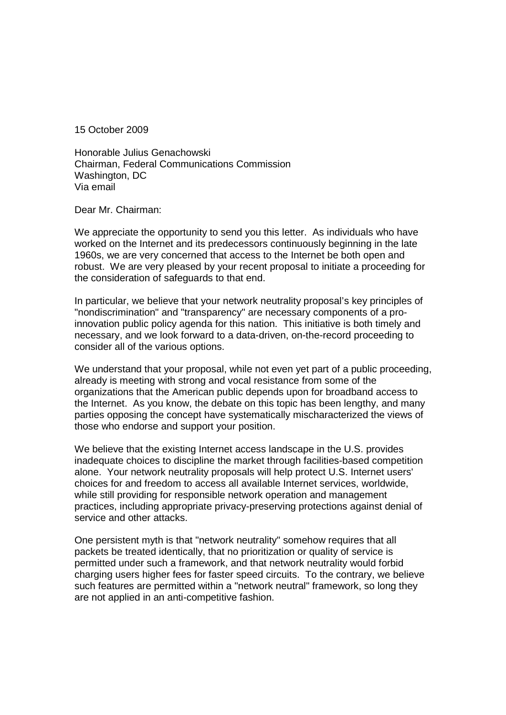15 October 2009

Honorable Julius Genachowski Chairman, Federal Communications Commission Washington, DC Via email

Dear Mr. Chairman:

We appreciate the opportunity to send you this letter. As individuals who have worked on the Internet and its predecessors continuously beginning in the late 1960s, we are very concerned that access to the Internet be both open and robust. We are very pleased by your recent proposal to initiate a proceeding for the consideration of safeguards to that end.

In particular, we believe that your network neutrality proposal's key principles of "nondiscrimination" and "transparency" are necessary components of a proinnovation public policy agenda for this nation. This initiative is both timely and necessary, and we look forward to a data-driven, on-the-record proceeding to consider all of the various options.

We understand that your proposal, while not even yet part of a public proceeding. already is meeting with strong and vocal resistance from some of the organizations that the American public depends upon for broadband access to the Internet. As you know, the debate on this topic has been lengthy, and many parties opposing the concept have systematically mischaracterized the views of those who endorse and support your position.

We believe that the existing Internet access landscape in the U.S. provides inadequate choices to discipline the market through facilities-based competition alone. Your network neutrality proposals will help protect U.S. Internet users' choices for and freedom to access all available Internet services, worldwide, while still providing for responsible network operation and management practices, including appropriate privacy-preserving protections against denial of service and other attacks

One persistent myth is that "network neutrality" somehow requires that all packets be treated identically, that no prioritization or quality of service is permitted under such a framework, and that network neutrality would forbid charging users higher fees for faster speed circuits. To the contrary, we believe such features are permitted within a "network neutral" framework, so long they are not applied in an anti-competitive fashion.